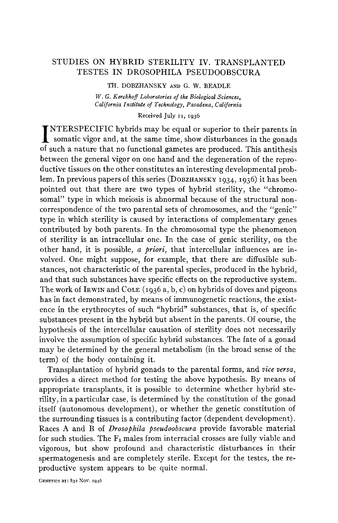# STUDIES ON HYBRID STERILITY IV. TRANSPLANTED TESTES IN DROSOPHILA PSEUDOOBSCURA

TH. DOBZHANSKY **AND** G. **W.** *BEADLE W. G. Kerckhoff Laboratories of the Biological Sciences,*   $California$ *Institute of Technology, Pasadena, California* 

*Received July* **11, 1936** 

INTERSPECIFIC hybrids may be equal or superior to their parents in somatic vigor and, at the same time, show disturbances in the gonads of such a nature that no functional gametes are produced. This antithesis between the general vigor on one hand and the degeneration of the reproductive tissues on the other constitutes an interesting developmental problem. In previous papers of this series **(DOBZHANSKY** 1934, 1936) it has been pointed out that there are two types of hybrid sterility, the "chromosomal" type in which meiosis is abnormal because of the structural noncorrespondence of the two parental sets of chromosomes, and the "genic" type in which sterility is caused by interactions of complementary genes contributed by both parents. In the chromosomal type the phenomenon of sterility is an intracellular one. In the case of genic sterility, on the other hand, it is possible, *a priori,* that intercellular influences are involved. One might suppose, for example, that there are diffusible substances, not characteristic of the parental species, produced in the hybrid, and that such substances have specific effects on the reproductive system. The work of IRWIN and COLE (1936 a, b, c) on hybrids of doves and pigeons has in fact demonstrated, by means of immunogenetic reactions, the existence in the erythrocytes of such "hybrid" substances, that is, of specific substances present in the hybrid but absent in the parents. Of course, the hypothesis of the intercellular causation of sterility does not necessarily involve the assumption of specific hybrid substances. The fate of a gonad may be determined by the general metabolism (in the broad sense of the term) of the body containing it.

Transplantation of hybrid gonads to the parental forms, and *vice versa,*  provides a direct method for testing the above hypothesis. By means of appropriate transplants, it is possible to determine whether hybrid sterility, in a particular case, is determined by the constitution of the gonad itself (autonomous development), or whether the genetic constitution of the surrounding tissues is a contributing factor (dependent development). Races A and B of *Drosophila pseudoobscura* provide favorable material for such studies. The  $F_1$  males from interracial crosses are fully viable and vigorous, but show profound and characteristic disturbances in their spermatogenesis and are completely sterile. Except for the testes, the reproductive system appears to be quite normal.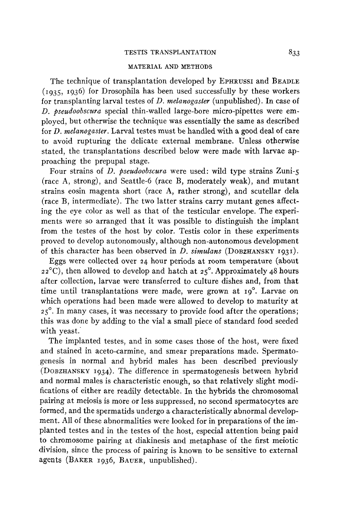### TESTIS TRANSPLANTATION *833*

#### MATERIAL AND METHODS

The technique of transplantation developed by EPHRUSSI and BEADLE  $(1935, 1936)$  for Drosophila has been used successfully by these workers for transplanting larval testes of *D. melanogaster* (unpublished). In case of *D. pseudoobscura* special thin-walled large-bore micro-pipettes were employed, but otherwise the technique was essentially the same as described for *D. melanogaster.* Larval testes must be handled with a good deal of care to avoid rupturing the delicate external membrane. Unless otherwise stated, the transplantations described below were made with larvae approaching the prepupal stage.

Four strains of *D. pseudoobscura* were used: wild type strains Zuni-5 (race A, strong), and Seattle-6 (race B, moderately weak), and mutant strains eosin magenta short (race **A,** rather strong), and scutellar dela (race B, intermediate). The two latter strains carry mutant genes affecting the eye color as well as that of the testicular envelope. The experiments were so arranged that it was possible to distinguish the implant from the testes of the host by color. Testis color in these experiments proved to develop autonomously, although non-autonomous development of this character has been observed in *D. simulans* (DOBZHANSKY 1931).

Eggs were collected over 24 hour periods at room temperature (about  $22^{\circ}$ C), then allowed to develop and hatch at  $25^{\circ}$ . Approximately 48 hours after collection, larvae were transferred to culture dishes and, from that time until transplantations were made, were grown at 19°. Larvae on which operations had been made were allowed to develop to maturity at  $25^\circ$ . In many cases, it was necessary to provide food after the operations; this was done by adding to the vial a small piece of standard food seeded with yeast.'

The implanted testes, and in some cases those of the host, were fixed and stained in aceto-carmine, and smear preparations made. Spermatogenesis in normal and hybrid males has been described previously (DOBZHANSKY 1934). The difference in spermatogenesis between hybrid and normal males is characteristic enough, so that relatively slight modifications of either are readily detectable. In the hybrids the chromosomal pairing at meiosis is more or less suppressed, no second spermatocytes are formed, and the spermatids undergo a characteristically abnormal development. All of these abnormalities were looked for in preparations of the implanted testes and in the testes of the host, especial attention being paid to chromosome pairing at diakinesis and metaphase of the first meiotic division, since the process of pairing is known to be sensitive to external agents (BAKER 1936, BAUER, unpublished).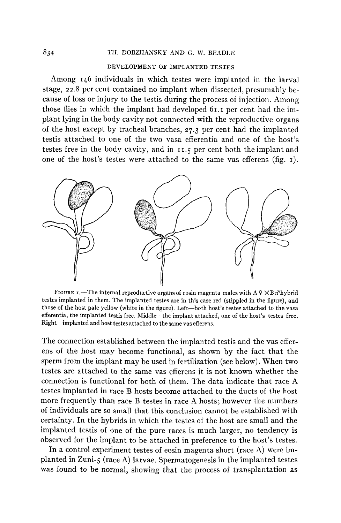### **834** TH. DOBZHANSKY AND G. **W.** BEADLE

### DEVELOPMENT OF IMPLANTED TESTES

Among 146 individuals in which testes were implanted in the larval stage, *22.8* per cent contained no implant when dissected, presumably because of loss or injury to the testis during the process of injection. Among those flies in which the implant had developed 61.1 per cent had the implant lying in the body cavity not connected with the reproductive organs of the host except by tracheal branches, **27.3** per cent had the implanted testis attached to one of the two vasa efferentia and one of the host's testes free in the body cavity, and in **11.5** per cent both the implant and one of the host's testes were attached to the same vas efferens (fig. I).



FIGURE 1.-The internal reproductive organs of eosin magenta males with  $A \circ \times B \circ h$  which testes implanted in them. The implanted testes are in this case red (stippled in the figure), and those of the host pale yellow (white in the figure). Left-both host's testes attached to the vasa efferentia, the implanted testis free. Middle-the implant attached, one **of** the host's testes free. Right-implanted and host testes attached *to* the same vas efferens.

The connection established between the implanted testis and the vas efferens of the host may become functional, as shown by the fact that the sperm from the implant may be used in fertilization (see below). When two testes are attached to the same vas efferens it is not known whether the connection is functional for both of them. The data indicate that race A testes implanted in race B hosts become attached to the ducts of the host more frequently than race B testes in race A hosts; however the numbers of individuals are so small that this conclusion cannot be established with certainty. In the hybrids in which the testes of the host are small and the implanted testis of one of the pure races is much larger, no tendency is observed for the implant to be attached in preference to the host's testes.

In a control experiment testes of eosin magenta short (race **A)** were implanted in Zuni-5 (race **A)** larvae. Spermatogenesis in the implanted testes was found to be normal, showing that the process **of** transplantation as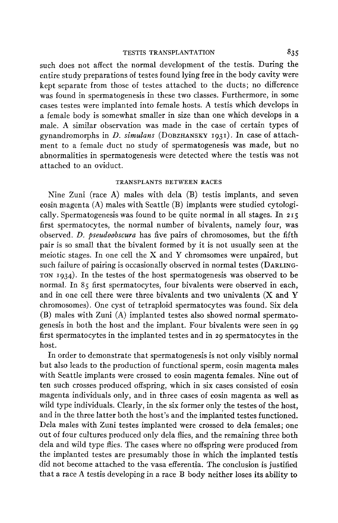such does not affect the normal development of the testis. During the entire study preparations of testes found lying free in the body cavity were kept separate from those of testes attached to the ducts; no difference was found in spermatogenesis in these two classes. Furthermore, in some cases testes were implanted into female hosts. **A** testis which develops in a female body is somewhat smaller in size than one which develops in a male. A similar observation was made in the case of certain types of gynandromorphs in *D. simulans* (DOBZHANSKY **1931).** In case of attachment to a female duct no study of spermatogenesis was made, but no abnormalities in spermatogenesis were detected where the testis was not attached to an oviduct.

#### TRANSPLANTS BETWEEN RACES

Nine Zuni (race **A)** males with dela (B) testis implants, and seven eosin magenta **(A)** males with Seattle (B) implants were studied cytologically. Spermatogenesis was found to be quite normal in all stages. In **215**  first spermatocytes, the normal number of bivalents, namely four, was observed. *D. pseudoobscura* has five pairs of chromosomes, but the fifth pair is so small that the bivalent formed by it is not usually seen at the meiotic stages. In one cell the X and *Y* chromsomes were unpaired, but such failure of pairing is occasionally observed in normal testes (DARLING-TON **1934).** In the testes of the host spermatogenesis was observed to be normal. In 85 first spermatocytes, four bivalents were observed in each, and in one cell there were three bivalents and two univalents **(X** and *Y*  chromosomes). One cyst of tetraploid spermatocytes was found. Six dela (B) males with Zuni (A) implanted testes also showed normal spermatogenesis in both the host and the implant. Four bivalents were seen in **99**  first spermatocytes in the implanted testes and in **29** spermatocytes in the host.

In order to demonstrate that spermatogenesis is not only visibly normal but also leads to the production of functional sperm, eosin magenta males with Seattle implants were crossed to eosin magenta females. Nine out of ten such crosses produced offspring, which in six cases consisted of eosin magenta individuals only, and in three cases of eosin magenta as well as wild type individuals. Clearly, in the six former only the testes of the host, and in the three latter both the host's and the implanted testes functioned. Dela males with Zuni testes implanted were crossed to dela females; one out of four cultures produced only dela flies, and the remaining three both dela and wild type flies. The cases where no offspring were produced from the implanted testes are presumably those in which the implanted testis did not become attached to the vasa efferentia. The conclusion is justified that a race **A** testis developing in a race B body neither loses its ability to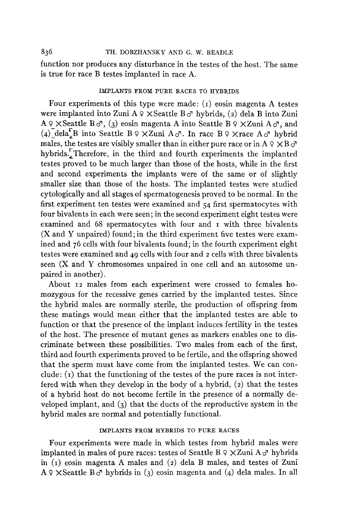### 836 **TH.** DOBZHANSKY AND *G.* W. BEADLE

function nor produces any disturbance in the testes of the host. The same is true for race B testes implanted in race A.

### IMPLANTS FROM PURE RACES TO HYBRIDS

Four experiments of this type were made:  $(i)$  eosin magenta A testes were implanted into Zuni A *9* XSeattle B *C?* hybrids, **(2)** dela B into Zuni  $A \circ \times S$ eattle  $B \circ A$ , (3) eosin magenta A into Seattle  $B \circ \times Z$ uni  $A \circ A$ , and (4) dela<sup>t</sup>B into Seattle B  $9 \times Z$ uni A $\sigma$ . In race B  $9 \times$ race A $\sigma$ <sup>1</sup> hybrid males, the testes are visibly smaller than in either pure race or in  $A \varphi \times B \varphi$ hybrids. Therefore, in the third and fourth experiments the implanted testes proved to be much larger than those of the hosts, while in the first and second experiments the implants were of the same or of slightly smaller size than those of the hosts. The implanted testes were studied cytologically and all stages of spermatogenesis proved to be normal. In the first experiment ten testes were examined and 54 first spermatocytes with four bivalents in each were seen; in the second experiment eight testes were examined and 68 spermatocytes with four and I with three bivalents (X and Y unpaired) found; in the third experiment five testes were examined and 76 cells with four bivalents found; in the fourth experiment eight testes were examined and 49 cells with four and *2* cells with three bivalents seen (X and Y chromosomes unpaired in one cell and an autosome unpaired in another).

About **12** males from each experiment were crossed to females homozygous for the recessive genes carried by the implanted testes. Since the hybrid males are normally sterile, the production of offspring from these matings would mean either that the implanted testes are able to function or that the presence of the implant induces fertility in the testes of the host. The presence of mutant genes as markers enables one to discriminate between these possibilities. Two males from each of the first, third and fourth experiments proved to be fertile, and the offspring showed that the sperm must have come from the implanted testes. We can conclude: **(I)** that the functioning of the testes of the pure races is not interfered with when they develop in the body of a hybrid, **(2)** that the testes of a hybrid host do not become fertile in the presence of a normally developed implant, and **(3)** that the ducts of the reproductive system in the hybrid males are normal and potentially functional.

## IMPLANTS FROM HYBRIDS TO PURE RACES

Four experiments were made in which testes from hybrid males were implanted in males of pure races: testes of Seattle B  $9 \times Z$ uni A  $\sigma$  hybrids in **(I)** eosin magenta A males and **(2)** dela B males, and testes of Zuni  $A \varphi \times S$ eattle  $B \varphi$ <sup>n</sup> hybrids in (3) eosin magenta and (4) dela males. In all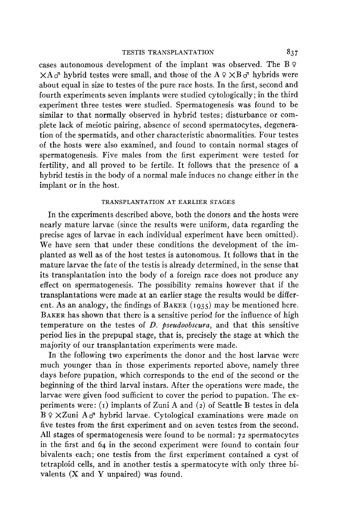cases autonomous development of the implant was observed. The B *9*   $\times$ A $\sigma$ <sup>7</sup> hybrid testes were small, and those of the A  $9 \times B \sigma$ <sup>7</sup> hybrids were about equal in size to testes of the pure race hosts. In the first, second and fourth experiments seven implants were studied cytologically; in the third experiment three testes were studied. Spermatogenesis was found to be similar to that normally observed in hybrid testes; disturbance or complete lack of meiotic pairing, absence of second spermatocytes, degeneration of the spermatids, and other characteristic abnormalities. Four testes of the hosts were also examined, and found to contain normal stages of spermatogenesis. Five males from the first experiment were tested for fertility, and all proved to be fertile. It follows that the presence of a hybrid testis in the body of a normal male induces no change either in the implant or in the host.

#### TRANSPLANTATION **AT** EARLIER STAGES

In the experiments described above, both the donors and the hosts were nearly mature larvae (since the results were uniform, data regarding the precise ages of larvae in each individual experiment have been omitted). We have seen that under these conditions the development of the implanted as well as of the host testes is autonomous. It follows that in the mature larvae the fate of the testis is already determined, in the sense that its transplantation into the body of a foreign race does not produce any effect on spermatogenesis. The possibility remains however that if the transplantations were made at an earlier stage the results would be different. **As** an analogy, the findings of BAKER **(1935)** may be mentioned here. BAKER has shown that there is a sensitive period for the influence of high temperature on the testes of *D. pseudoobscura*, and that this sensitive period lies in the prepupal stage, that is, precisely the stage at which the majority of our transplantation experiments were made.

In the following two experiments the donor and the host larvae were much younger than in those experiments reported above, namely three days before pupation, which corresponds to the end of the second or the beginning of the third larval instars. After the operations were made, the larvae were given food sufficient to cover the period to pupation. The experiments were: (I) implants of Zuni A and *(2)* of Seattle B testes in dela  $B \Omega \times Z$ uni  $A \sigma$ <sup>n</sup> hybrid larvae. Cytological examinations were made on five testes from the first experiment and on seven testes from the second. All stages of spermatogenesis were found to be normal: **72** spermatocytes in the first and 64 in the second experiment were found to contain four bivalents each; one testis from the first experiment contained a cyst of tetraploid cells, and in another testis a spermatocyte with only three bivalents **(X** and Y unpaired) was found.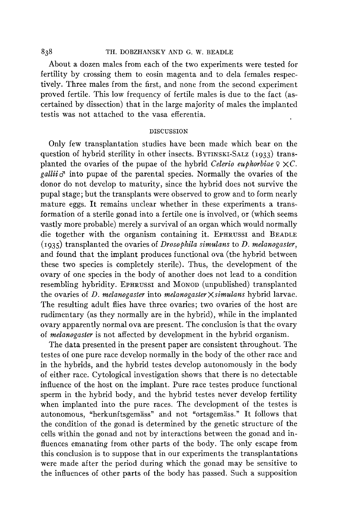### *838* TH. DOBZHANSKY **AND** *G.* **W. BEADLE**

About a dozen males from each of the two experiments were tested for fertility by crossing them to eosin magenta and to dela females respectively. Three males from the first, and none from the second experiment proved fertile. This low frequency of fertile males is due to the fact (ascertained by dissection) that in the large majority of males the implanted testis was not attached to the vasa efferentia.

#### DISCUSSION

Only few transplantation studies have been made which bear on the question of hybrid sterility in other insects. BYTINSKI-SALZ (1933) transplanted the ovaries of the pupae of the hybrid *Celerio euphorbiae*  $9 \times C$ . *gallii* $\sigma$  into pupae of the parental species. Normally the ovaries of the donor do not develop to maturity, since the hybrid does not survive the pupal stage; but the transplants were observed to grow and to form nearly mature eggs. It remains unclear whether in these experiments a transformation of a sterile gonad into a fertile one is involved, or (which seems vastly more probable) merely a survival of an organ which would normally die together with the organism containing it. EPHRUSSI and BEADLE **(1935)** transplanted the ovaries of *Drosophila simulans* to *D. melanogaster,*  and found that the implant produces functional ova (the hybrid between these two species is completely sterile). Thus, the development of the ovary of one species in the body of another does not lead to a condition resembling hybridity. EPHRUSSI and MONOD (unpublished) transplanted the ovaries of *D. melanogaster* into *melanogaster* X *simulans* hybrid larvae. The resulting adult flies have three ovaries; two ovaries of the host are rudimentary (as they normally are in the hybrid), while in the implanted ovary apparently normal ova are present. The conclusion is that the ovary of *melanogaster* is not affected by development in the hybrid organism.

The data presented in the present paper are consistent throughout. The testes of one pure race develop normally in the body of the other race and in the hybrids, and the hybrid testes develop autonomously in the body of either race. Cytological investigation shows that there is no detectable influence of the host on the implant. Pure race testes produce functional sperm in the hybrid body, and the hybrid testes never develop fertility when implanted into the pure races. The development of the testes is autonomous, "herkunftsgemäss" and not "ortsgemäss." It follows that the condition of the gonad is determined by the genetic structure of the cells within the gonad and not by interactions between the gonad and influences emanating from other parts of the body. The only escape from this conclusion is to suppose that in our experiments the transplantations were made after the period during which the gonad may be sensitive to the influences of other parts of the body has passed. Such a supposition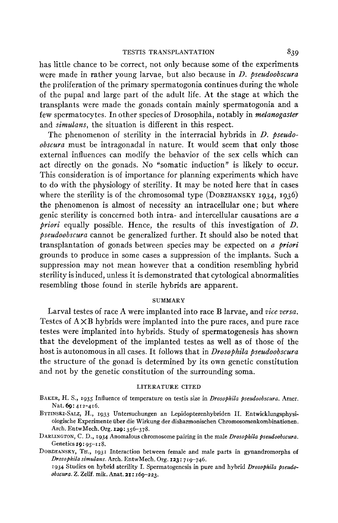has little chance to be correct, not only because some of the experiments were made in rather young larvae, but also because in *D. pseudoobscura*  the proliferation of the primary spermatogonia continues during the whole of the pupal and large part of the adult life. At the stage at which the transplants were made the gonads contain mainly spermatogonia and a few spermatocytes. In other species of Drosophila, notably in *melanogaster*  and *simulans,* the situation is different in this respect.

The phenomenon of sterility in the interracial hybrids in *U. pseudoobscura* must be intragonadal in nature. It would seem that only those external influences can modify the behavior of the sex cells which can act directly on the gonads. No "somatic induction" is likely to occur. This consideration is of importance for planning experiments which have to do with the physiology of sterility. It may be noted here that in cases where the sterility is of the chromosomal type **(DOBZHANSKY 1934,** 1936) the phenomenon is almost of necessity an intracellular one; but where genic sterility is concerned both intra- and intercellular causations are *a priori* equally possible. Hence, the results of this investigation of *D. pseudoobscura* cannot be generalized further. It should also be noted that transplantation of gonads between species may be expected on *a priori*  grounds to produce in some cases a suppression of the implants. Such a suppression may not mean however that a condition resembling hybrid sterility is induced, unless it is demonstrated that cytological abnormalities resembling those found in sterile hybrids are apparent.

### **SUMMARY**

Larval testes of race A were implanted into race B larvae, and *vice versa.*  Testes of  $A \times B$  hybrids were implanted into the pure races, and pure race testes were implanted into hybrids. Study of spermatogenesis has shown that the development of the implanted testes as well as of those of the host is autonomous in all cases. It follows that in *Drosophila pseudoobscura*  the structure of the gonad is determined by its own genetic constitution and not by the genetic constitution of the surrounding soma.

### LITERATURE CITED

- BAKER, H. S., 1935 Influence **of** temperature on testis size in *Drosophila pseudoobscura.* Amer. Nat. *6g:* 412-416.
- BYTINSKI-SALZ, H., 1933 Untersuchungen an Lepidopterenhybriden 11. Entwicklungsphysiologische Experimente iiber die Wirkung der disharmonischen Chromosomenkombinationen. Arch. EntwMech. Org. **129:** 356-378.
- **DARLINGTON, C.** D., 1934 Anomalous chromosome pairing in the male *Drosophila pseudoobscura.*  Genetics **19:** 95-118.

DOBZHANSKY, TH., 1931 Interaction between female and male parts in gynandromorphs **of**  *Drosophila simulans.* Arch. EntwMech. Org. **123** : 719-746.

1934 Studies on hybrid sterility I. Spermatogenesis in pure and hybrid *Drosophila pseudoobscwa. Z.* Zellf. mik. Anat. **21: 169-223.**